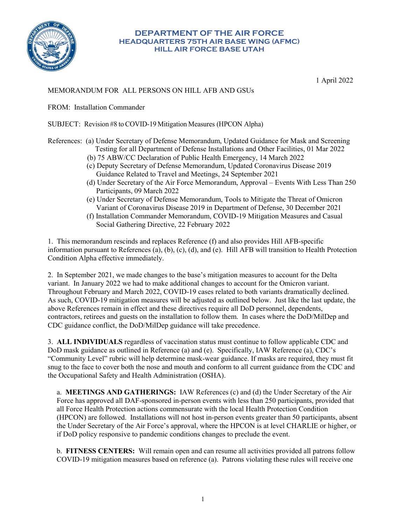

## **DEPARTMENT OF THE AIR FORCE HEADQUARTERS 75TH AIR BASE WING (AFMC) HILL AIR FORCE BASE UTAH**

1 April 2022

## MEMORANDUM FOR ALL PERSONS ON HILL AFB AND GSUs

FROM: Installation Commander

SUBJECT: Revision #8 to COVID-19 Mitigation Measures (HPCON Alpha)

## References: (a) Under Secretary of Defense Memorandum, Updated Guidance for Mask and Screening Testing for all Department of Defense Installations and Other Facilities, 01 Mar 2022

- (b) 75 ABW/CC Declaration of Public Health Emergency, 14 March 2022
- (c) Deputy Secretary of Defense Memorandum, Updated Coronavirus Disease 2019 Guidance Related to Travel and Meetings, 24 September 2021
- (d) Under Secretary of the Air Force Memorandum, Approval Events With Less Than 250 Participants, 09 March 2022
- (e) Under Secretary of Defense Memorandum, Tools to Mitigate the Threat of Omicron Variant of Coronavirus Disease 2019 in Department of Defense, 30 December 2021
- (f) Installation Commander Memorandum, COVID-19 Mitigation Measures and Casual Social Gathering Directive, 22 February 2022

1. This memorandum rescinds and replaces Reference (f) and also provides Hill AFB-specific information pursuant to References (a), (b), (c), (d), and (e). Hill AFB will transition to Health Protection Condition Alpha effective immediately.

2. In September 2021, we made changes to the base's mitigation measures to account for the Delta variant. In January 2022 we had to make additional changes to account for the Omicron variant. Throughout February and March 2022, COVID-19 cases related to both variants dramatically declined. As such, COVID-19 mitigation measures will be adjusted as outlined below. Just like the last update, the above References remain in effect and these directives require all DoD personnel, dependents, contractors, retirees and guests on the installation to follow them. In cases where the DoD/MilDep and CDC guidance conflict, the DoD/MilDep guidance will take precedence.

3. **ALL INDIVIDUALS** regardless of vaccination status must continue to follow applicable CDC and DoD mask guidance as outlined in Reference (a) and (e). Specifically, IAW Reference (a), CDC's "Community Level" rubric will help determine mask-wear guidance. If masks are required, they must fit snug to the face to cover both the nose and mouth and conform to all current guidance from the CDC and the Occupational Safety and Health Administration (OSHA).

a. **MEETINGS AND GATHERINGS:** IAW References (c) and (d) the Under Secretary of the Air Force has approved all DAF-sponsored in-person events with less than 250 participants, provided that all Force Health Protection actions commensurate with the local Health Protection Condition (HPCON) are followed. Installations will not host in-person events greater than 50 participants, absent the Under Secretary of the Air Force's approval, where the HPCON is at level CHARLIE or higher, or if DoD policy responsive to pandemic conditions changes to preclude the event.

b. **FITNESS CENTERS:** Will remain open and can resume all activities provided all patrons follow COVID-19 mitigation measures based on reference (a). Patrons violating these rules will receive one